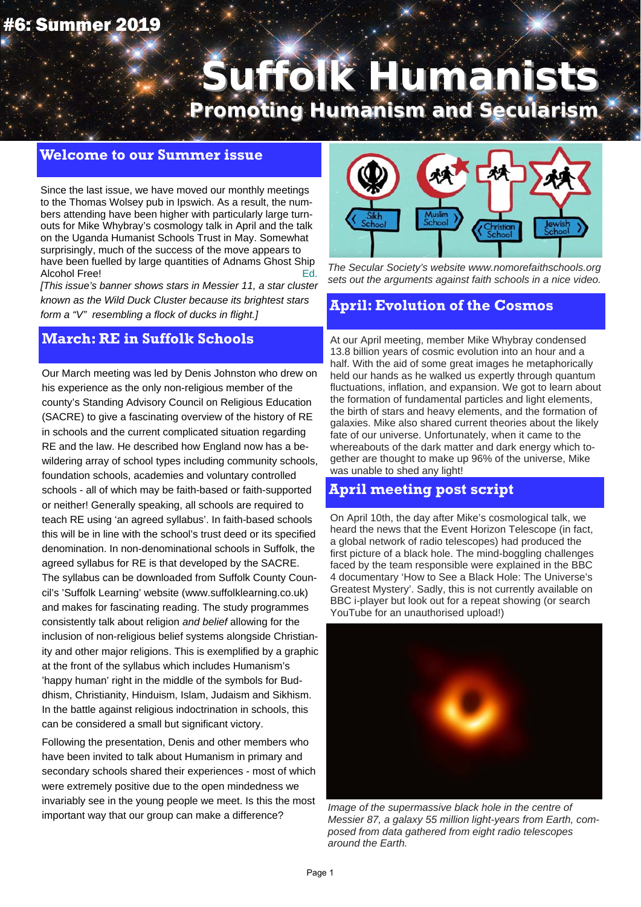## #6: Summer 2019

# **Suffolk Humanists Suffolk Humanists**

**Promoting Humanism and Secularism**

#### **Welcome to our Summer issue**

Since the last issue, we have moved our monthly meetings to the Thomas Wolsey pub in Ipswich. As a result, the numbers attending have been higher with particularly large turnouts for Mike Whybray's cosmology talk in April and the talk on the Uganda Humanist Schools Trust in May. Somewhat surprisingly, much of the success of the move appears to have been fuelled by large quantities of Adnams Ghost Ship Alcohol Free! Ed.

*[This issue's banner shows stars in Messier 11, a star cluster known as the Wild Duck Cluster because its brightest stars form a "V" resembling a flock of ducks in flight.]*

#### **March: RE in Suffolk Schools**

Our March meeting was led by Denis Johnston who drew on his experience as the only non-religious member of the county's Standing Advisory Council on Religious Education (SACRE) to give a fascinating overview of the history of RE in schools and the current complicated situation regarding RE and the law. He described how England now has a bewildering array of school types including community schools, foundation schools, academies and voluntary controlled schools - all of which may be faith-based or faith-supported or neither! Generally speaking, all schools are required to teach RE using 'an agreed syllabus'. In faith-based schools this will be in line with the school's trust deed or its specified denomination. In non-denominational schools in Suffolk, the agreed syllabus for RE is that developed by the SACRE. The syllabus can be downloaded from Suffolk County Council's 'Suffolk Learning' website (www.suffolklearning.co.uk) and makes for fascinating reading. The study programmes consistently talk about religion *and belief* allowing for the inclusion of non-religious belief systems alongside Christianity and other major religions. This is exemplified by a graphic at the front of the syllabus which includes Humanism's 'happy human' right in the middle of the symbols for Buddhism, Christianity, Hinduism, Islam, Judaism and Sikhism. In the battle against religious indoctrination in schools, this can be considered a small but significant victory.

Following the presentation, Denis and other members who have been invited to talk about Humanism in primary and secondary schools shared their experiences - most of which were extremely positive due to the open mindedness we invariably see in the young people we meet. Is this the most important way that our group can make a difference?



*The Secular Society's website www.nomorefaithschools.org sets out the arguments against faith schools in a nice video.* 

#### **April: Evolution of the Cosmos**

At our April meeting, member Mike Whybray condensed 13.8 billion years of cosmic evolution into an hour and a half. With the aid of some great images he metaphorically held our hands as he walked us expertly through quantum fluctuations, inflation, and expansion. We got to learn about the formation of fundamental particles and light elements, the birth of stars and heavy elements, and the formation of galaxies. Mike also shared current theories about the likely fate of our universe. Unfortunately, when it came to the whereabouts of the dark matter and dark energy which together are thought to make up 96% of the universe, Mike was unable to shed any light!

## **April meeting post script**

On April 10th, the day after Mike's cosmological talk, we heard the news that the Event Horizon Telescope (in fact, a global network of radio telescopes) had produced the first picture of a black hole. The mind-boggling challenges faced by the team responsible were explained in the BBC 4 documentary 'How to See a Black Hole: The Universe's Greatest Mystery'. Sadly, this is not currently available on BBC i-player but look out for a repeat showing (or search YouTube for an unauthorised upload!)



*Image of the supermassive black hole in the centre of Messier 87, a galaxy 55 million light-years from Earth, composed from data gathered from eight radio telescopes around the Earth.*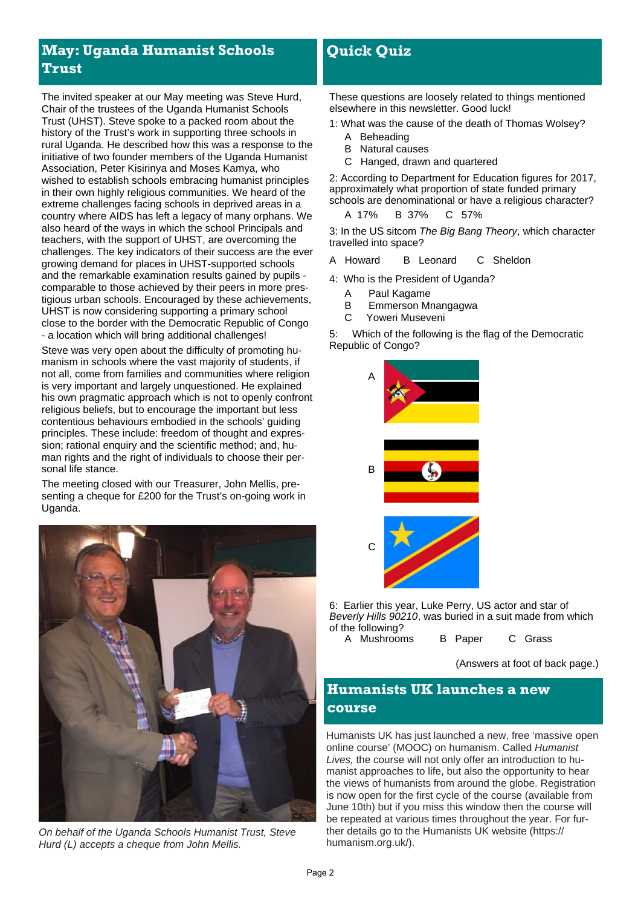## **May: Uganda Humanist Schools Trust**

The invited speaker at our May meeting was Steve Hurd, Chair of the trustees of the Uganda Humanist Schools Trust (UHST). Steve spoke to a packed room about the history of the Trust's work in supporting three schools in rural Uganda. He described how this was a response to the initiative of two founder members of the Uganda Humanist Association, Peter Kisirinya and Moses Kamya, who wished to establish schools embracing humanist principles in their own highly religious communities. We heard of the extreme challenges facing schools in deprived areas in a country where AIDS has left a legacy of many orphans. We also heard of the ways in which the school Principals and teachers, with the support of UHST, are overcoming the challenges. The key indicators of their success are the ever growing demand for places in UHST-supported schools and the remarkable examination results gained by pupils comparable to those achieved by their peers in more prestigious urban schools. Encouraged by these achievements, UHST is now considering supporting a primary school close to the border with the Democratic Republic of Congo - a location which will bring additional challenges!

Steve was very open about the difficulty of promoting humanism in schools where the vast majority of students, if not all, come from families and communities where religion is very important and largely unquestioned. He explained his own pragmatic approach which is not to openly confront religious beliefs, but to encourage the important but less contentious behaviours embodied in the schools' guiding principles. These include: freedom of thought and expression; rational enquiry and the scientific method; and, human rights and the right of individuals to choose their personal life stance.

The meeting closed with our Treasurer, John Mellis, presenting a cheque for £200 for the Trust's on-going work in Uganda.



*On behalf of the Uganda Schools Humanist Trust, Steve Hurd (L) accepts a cheque from John Mellis.* 

## **Quick Quiz**

These questions are loosely related to things mentioned elsewhere in this newsletter. Good luck!

1: What was the cause of the death of Thomas Wolsey?

- A Beheading
- B Natural causes
- C Hanged, drawn and quartered

2: According to Department for Education figures for 2017, approximately what proportion of state funded primary schools are denominational or have a religious character?

A 17% B 37% C 57%

3: In the US sitcom *The Big Bang Theory*, which character travelled into space?

- A Howard B Leonard C Sheldon
- 4: Who is the President of Uganda?
	- A Paul Kagame
	- B Emmerson Mnangagwa
	- C Yoweri Museveni

5: Which of the following is the flag of the Democratic Republic of Congo?



6: Earlier this year, Luke Perry, US actor and star of *Beverly Hills 90210*, was buried in a suit made from which of the following? A Mushr

| ooms | B Paper | U Grass |  |
|------|---------|---------|--|
|      |         |         |  |

(Answers at foot of back page.)

## **Humanists UK launches a new course**

Humanists UK has just launched a new, free 'massive open online course' (MOOC) on humanism. Called *Humanist Lives,* the course will not only offer an introduction to humanist approaches to life, but also the opportunity to hear the views of humanists from around the globe. Registration is now open for the first cycle of the course (available from June 10th) but if you miss this window then the course will be repeated at various times throughout the year. For further details go to the Humanists UK website (https:// humanism.org.uk/).